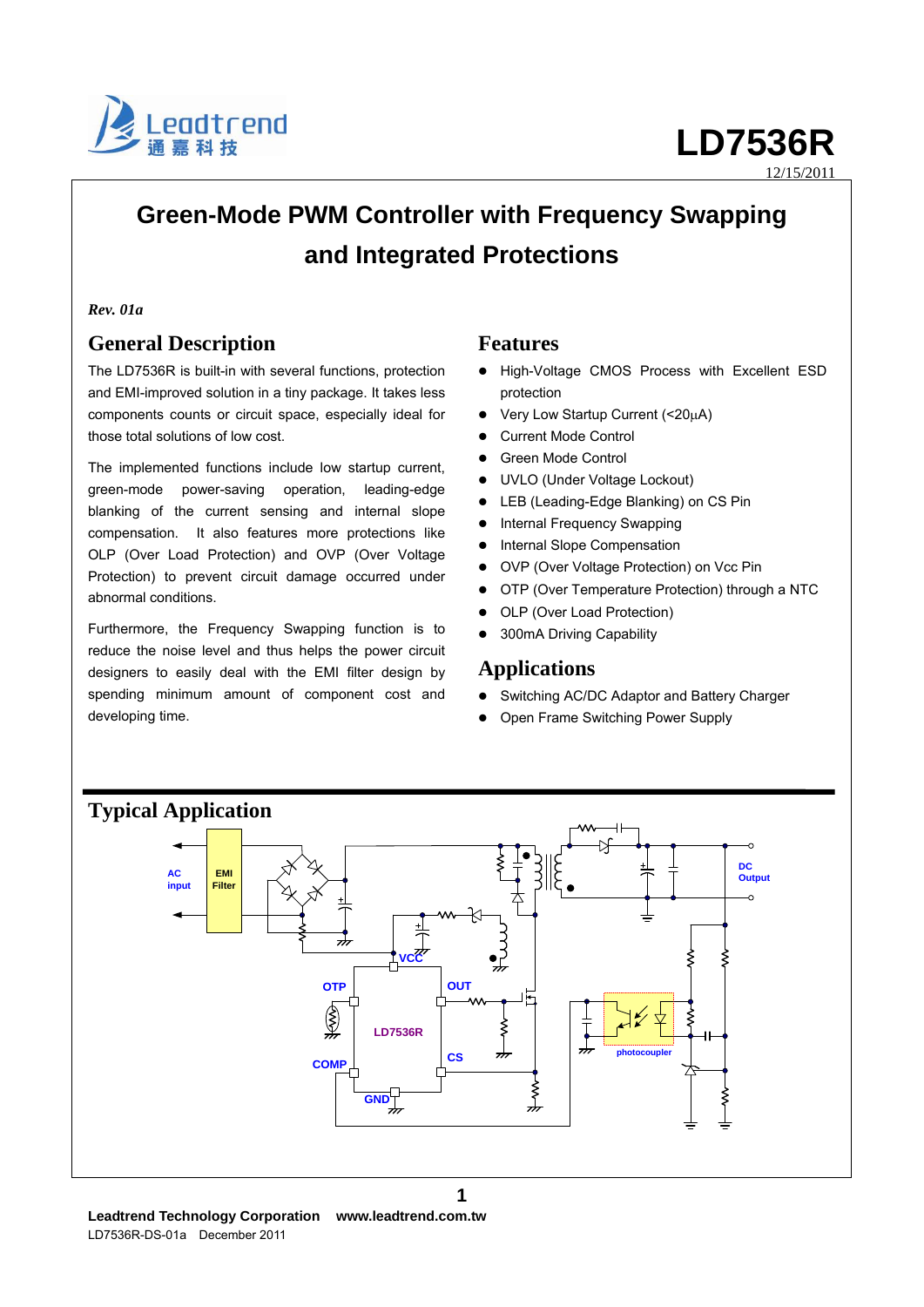

12/15/2011

# **Green-Mode PWM Controller with Frequency Swapping and Integrated Protections**

#### *Rev. 01a*

# **General Description**

The LD7536R is built-in with several functions, protection and EMI-improved solution in a tiny package. It takes less components counts or circuit space, especially ideal for those total solutions of low cost.

The implemented functions include low startup current, green-mode power-saving operation, leading-edge blanking of the current sensing and internal slope compensation. It also features more protections like OLP (Over Load Protection) and OVP (Over Voltage Protection) to prevent circuit damage occurred under abnormal conditions.

Furthermore, the Frequency Swapping function is to reduce the noise level and thus helps the power circuit designers to easily deal with the EMI filter design by spending minimum amount of component cost and developing time.

## **Features**

- High-Voltage CMOS Process with Excellent ESD protection
- Very Low Startup Current (<20μA)
- Current Mode Control
- Green Mode Control
- UVLO (Under Voltage Lockout)
- LEB (Leading-Edge Blanking) on CS Pin
- Internal Frequency Swapping
- Internal Slope Compensation
- OVP (Over Voltage Protection) on Vcc Pin
- OTP (Over Temperature Protection) through a NTC
- OLP (Over Load Protection)
- 300mA Driving Capability

## **Applications**

- Switching AC/DC Adaptor and Battery Charger
- Open Frame Switching Power Supply

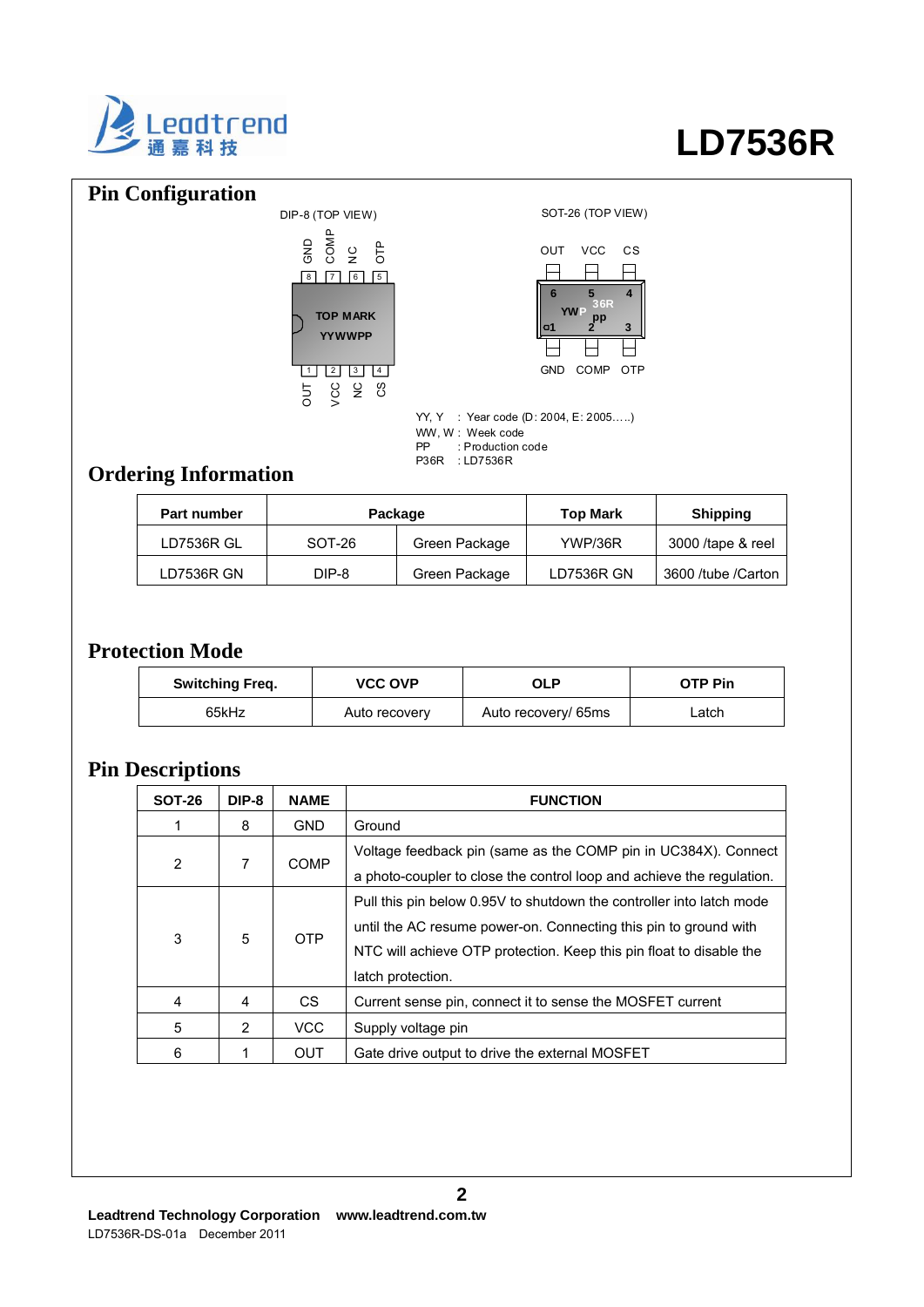

# **Pin Configuration**





YY, Y : Year code (D: 2004, E: 2005…..) WW, W : Week code PP : Production code P36R : LD7536R

# **Ordering Information**

| Part number | Package  |               | <b>Top Mark</b>   | <b>Shipping</b>     |
|-------------|----------|---------------|-------------------|---------------------|
| LD7536R GL  | $SOT-26$ | Green Package | YWP/36R           | 3000 /tape & reel   |
| LD7536R GN  | DIP-8    | Green Package | <b>LD7536R GN</b> | 3600 /tube / Carton |

# **Protection Mode**

| <b>Switching Freq.</b> | <b>VCC OVP</b> | OLP                 | <b>OTP Pin</b> |
|------------------------|----------------|---------------------|----------------|
| 65kHz                  | Auto recovery  | Auto recovery/ 65ms | _atch_         |

# **Pin Descriptions**

| <b>SOT-26</b> | DIP-8 | <b>NAME</b>                                                                                                                                            | <b>FUNCTION</b>                                                                                                                                                                                                                      |  |
|---------------|-------|--------------------------------------------------------------------------------------------------------------------------------------------------------|--------------------------------------------------------------------------------------------------------------------------------------------------------------------------------------------------------------------------------------|--|
|               | 8     | <b>GND</b>                                                                                                                                             | Ground                                                                                                                                                                                                                               |  |
| 2             | 7     | Voltage feedback pin (same as the COMP pin in UC384X). Connect<br><b>COMP</b><br>a photo-coupler to close the control loop and achieve the regulation. |                                                                                                                                                                                                                                      |  |
| 3             | 5     | <b>OTP</b>                                                                                                                                             | Pull this pin below 0.95V to shutdown the controller into latch mode<br>until the AC resume power-on. Connecting this pin to ground with<br>NTC will achieve OTP protection. Keep this pin float to disable the<br>latch protection. |  |
| 4             | 4     | CS.                                                                                                                                                    | Current sense pin, connect it to sense the MOSFET current                                                                                                                                                                            |  |
| 5             | 2     | VCC                                                                                                                                                    | Supply voltage pin                                                                                                                                                                                                                   |  |
| 6             |       | OUT                                                                                                                                                    | Gate drive output to drive the external MOSFET                                                                                                                                                                                       |  |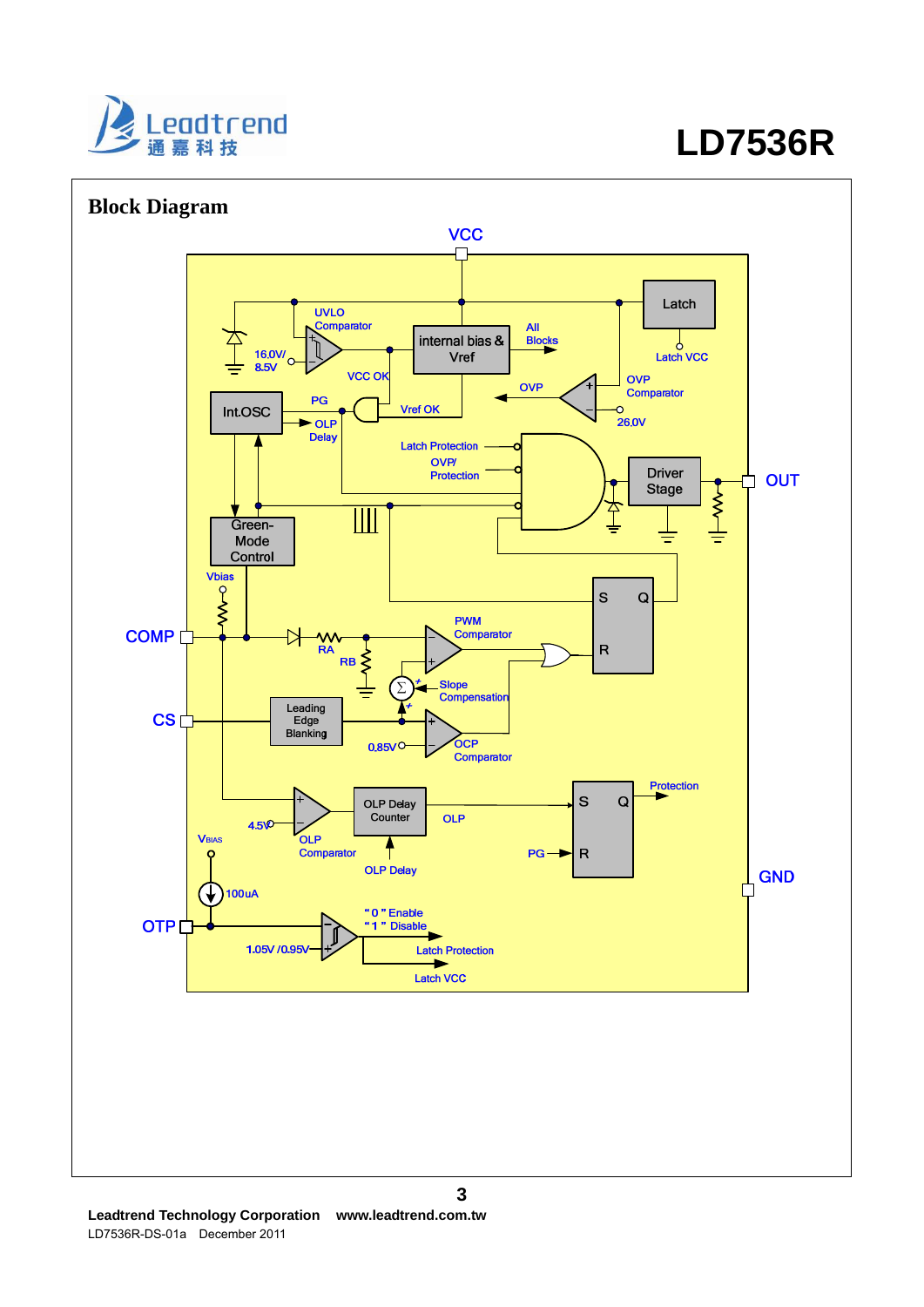

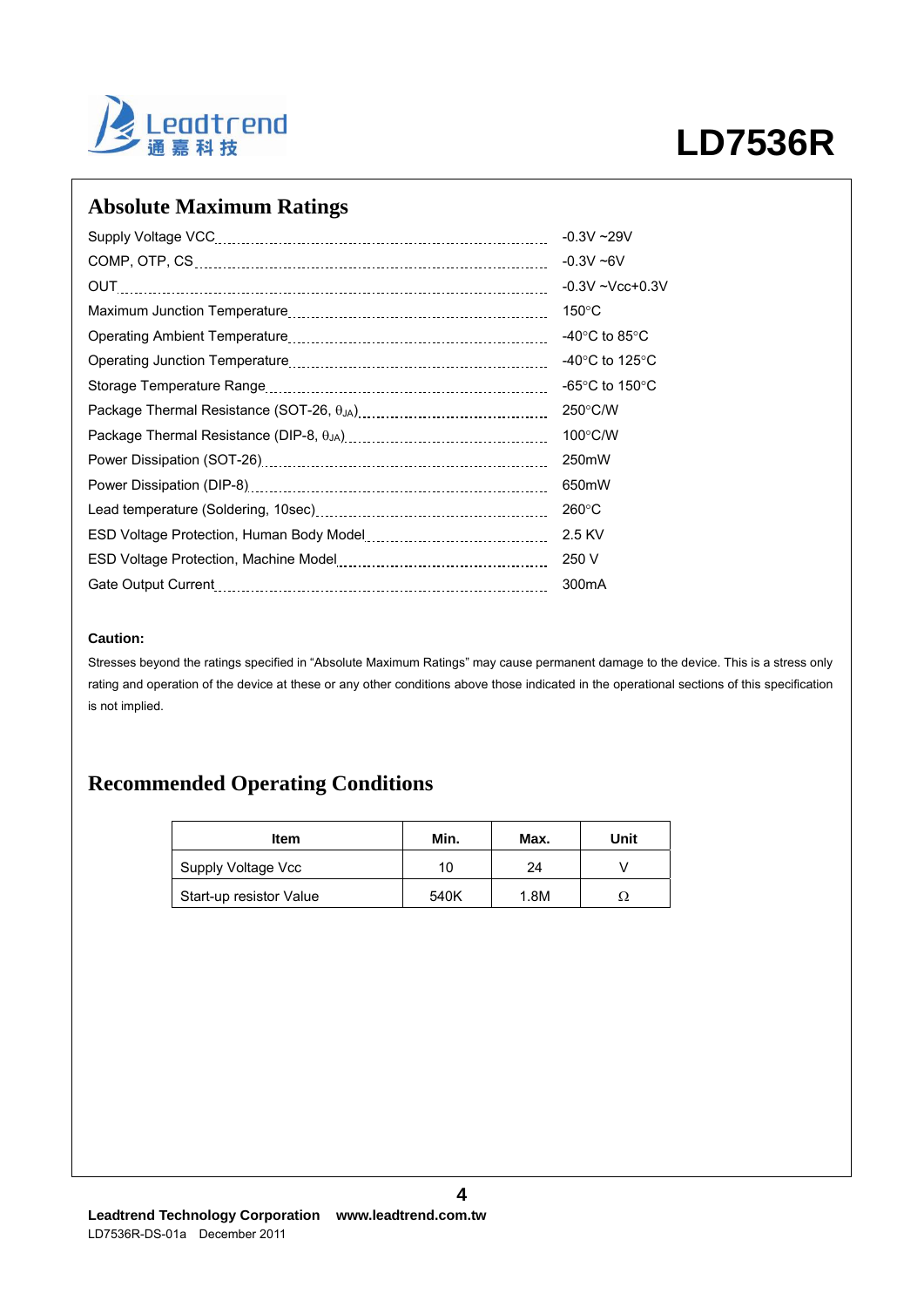

# **Absolute Maximum Ratings**

|                                                                                                                | $-0.3V - 29V$                             |
|----------------------------------------------------------------------------------------------------------------|-------------------------------------------|
|                                                                                                                | $-0.3V - 6V$                              |
| OUT                                                                                                            | $-0.3V - Vcc + 0.3V$                      |
|                                                                                                                | $150^{\circ}$ C                           |
|                                                                                                                | -40 $\rm ^{\circ}C$ to 85 $\rm ^{\circ}C$ |
|                                                                                                                | -40 $\degree$ C to 125 $\degree$ C        |
|                                                                                                                | -65 $\degree$ C to 150 $\degree$ C        |
| Package Thermal Resistance (SOT-26, 0JA) [11] [2010] Package Thermal Resistance (SOT-26, 0JA) [11] [12] [2010] | $250^{\circ}$ C/W                         |
|                                                                                                                | $100^{\circ}$ C/W                         |
|                                                                                                                | 250mW                                     |
|                                                                                                                | 650mW                                     |
|                                                                                                                | $260^{\circ}$ C                           |
|                                                                                                                | 2.5 KV                                    |
|                                                                                                                | 250 V                                     |
| Gate Output Current                                                                                            | 300 <sub>m</sub> A                        |

### **Caution:**

Stresses beyond the ratings specified in "Absolute Maximum Ratings" may cause permanent damage to the device. This is a stress only rating and operation of the device at these or any other conditions above those indicated in the operational sections of this specification is not implied.

# **Recommended Operating Conditions**

| Item                    | Min. | Max. | Unit |
|-------------------------|------|------|------|
| Supply Voltage Vcc      | 10   | 24   |      |
| Start-up resistor Value | 540K | 1.8M |      |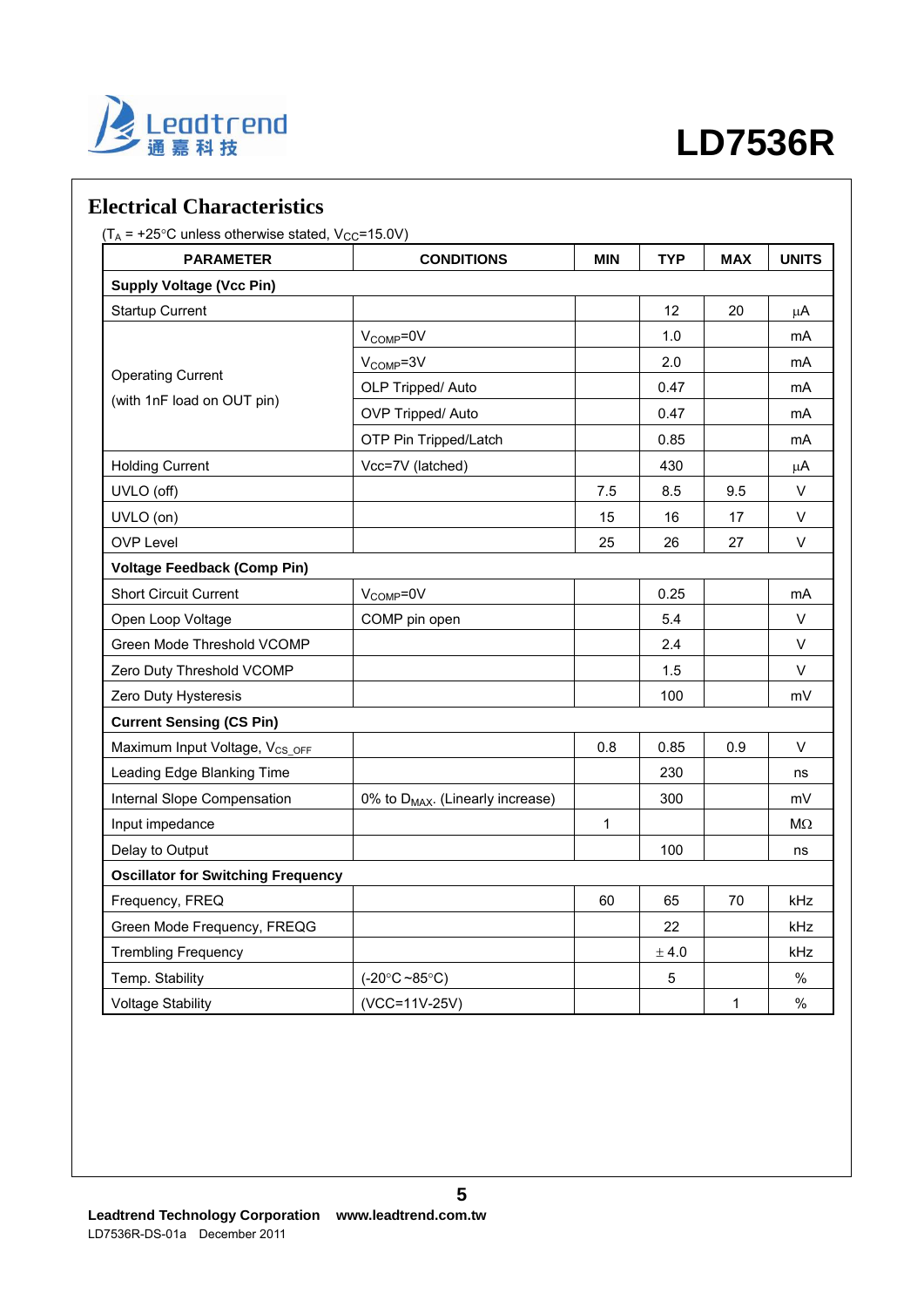

# **Electrical Characteristics**

 $(T_A = +25^{\circ}$ C unless otherwise stated,  $V_{CC} = 15.0V$ )

| <b>PARAMETER</b>                           | <b>CONDITIONS</b>                            | <b>MIN</b>   | <b>TYP</b> | <b>MAX</b> | <b>UNITS</b> |
|--------------------------------------------|----------------------------------------------|--------------|------------|------------|--------------|
| <b>Supply Voltage (Vcc Pin)</b>            |                                              |              |            |            |              |
| <b>Startup Current</b>                     |                                              |              | 12         | 20         | $\mu A$      |
|                                            | V <sub>COMP</sub> =0V                        |              | 1.0        |            | mA           |
|                                            | V <sub>COMP</sub> =3V                        |              | 2.0        |            | mA           |
| <b>Operating Current</b>                   | OLP Tripped/ Auto                            |              | 0.47       |            | mA           |
| (with 1nF load on OUT pin)                 | OVP Tripped/ Auto                            |              | 0.47       |            | mA           |
|                                            | OTP Pin Tripped/Latch                        |              | 0.85       |            | mA           |
| <b>Holding Current</b>                     | Vcc=7V (latched)                             |              | 430        |            | $\mu$ A      |
| UVLO (off)                                 |                                              | 7.5          | 8.5        | 9.5        | V            |
| UVLO (on)                                  |                                              | 15           | 16         | 17         | V            |
| <b>OVP Level</b>                           |                                              | 25           | 26         | 27         | V            |
| <b>Voltage Feedback (Comp Pin)</b>         |                                              |              |            |            |              |
| <b>Short Circuit Current</b>               | V <sub>COMP</sub> =0V                        |              | 0.25       |            | mA           |
| Open Loop Voltage                          | COMP pin open                                |              | 5.4        |            | V            |
| Green Mode Threshold VCOMP                 |                                              |              | 2.4        |            | V            |
| Zero Duty Threshold VCOMP                  |                                              |              | 1.5        |            | V            |
| Zero Duty Hysteresis                       |                                              |              | 100        |            | mV           |
| <b>Current Sensing (CS Pin)</b>            |                                              |              |            |            |              |
| Maximum Input Voltage, V <sub>CS OFF</sub> |                                              | 0.8          | 0.85       | 0.9        | V            |
| Leading Edge Blanking Time                 |                                              |              | 230        |            | ns           |
| Internal Slope Compensation                | 0% to D <sub>MAX</sub> . (Linearly increase) |              | 300        |            | mV           |
| Input impedance                            |                                              | $\mathbf{1}$ |            |            | $M\Omega$    |
| Delay to Output                            |                                              |              | 100        |            | ns           |
| <b>Oscillator for Switching Frequency</b>  |                                              |              |            |            |              |
| Frequency, FREQ                            |                                              | 60           | 65         | 70         | kHz          |
| Green Mode Frequency, FREQG                |                                              |              | 22         |            | kHz          |
| <b>Trembling Frequency</b>                 |                                              |              | $\pm$ 4.0  |            | kHz          |
| Temp. Stability                            | $(-20^{\circ}C - 85^{\circ}C)$               |              | 5          |            | $\%$         |
| <b>Voltage Stability</b>                   | (VCC=11V-25V)                                |              |            | 1          | $\%$         |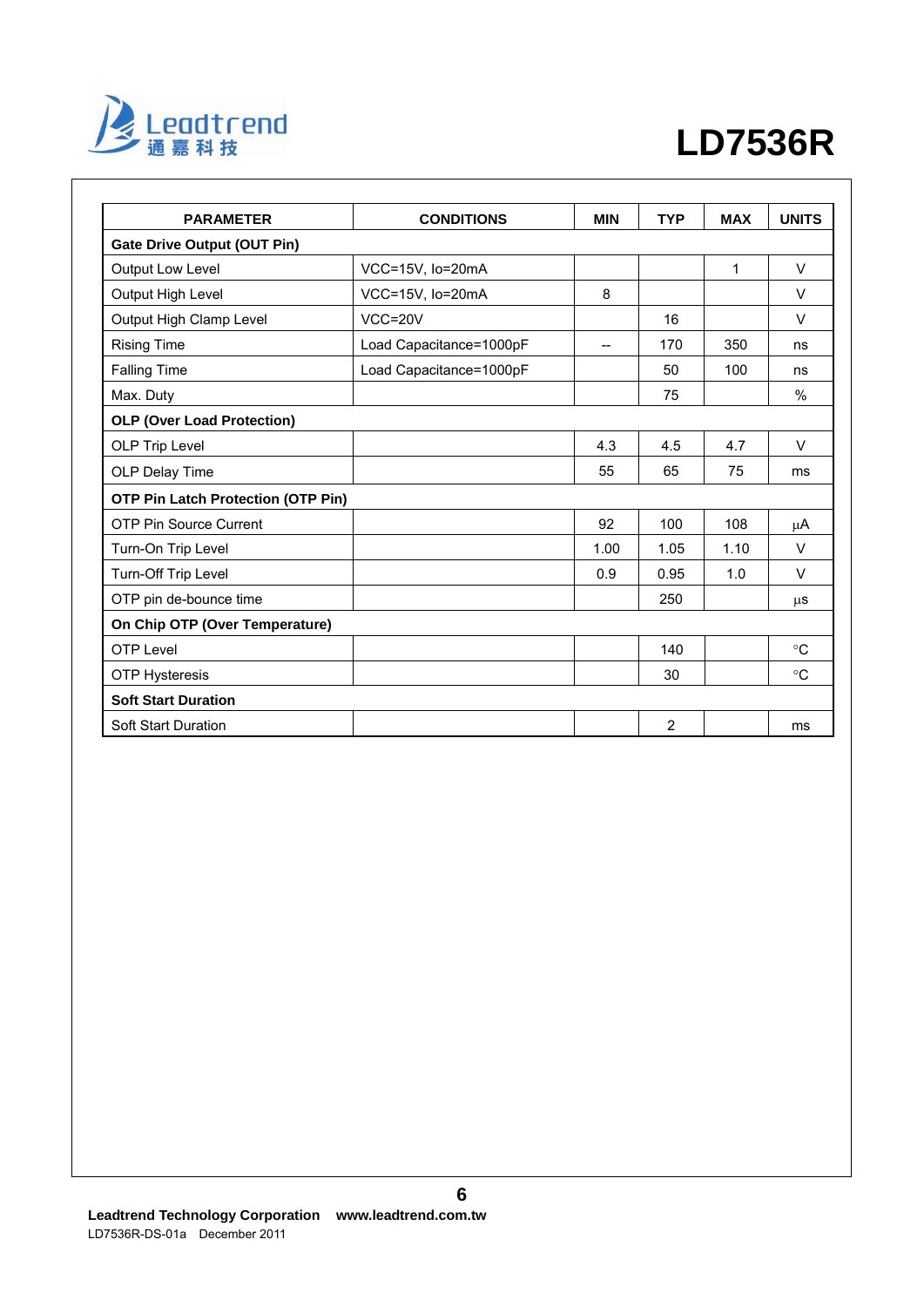

| <b>PARAMETER</b>                          | <b>CONDITIONS</b>       | <b>MIN</b> | <b>TYP</b> | <b>MAX</b> | <b>UNITS</b>  |
|-------------------------------------------|-------------------------|------------|------------|------------|---------------|
| <b>Gate Drive Output (OUT Pin)</b>        |                         |            |            |            |               |
| Output Low Level                          | VCC=15V, lo=20mA        |            |            | 1          | $\vee$        |
| Output High Level                         | VCC=15V, lo=20mA        | 8          |            |            | $\vee$        |
| Output High Clamp Level                   | $VCC = 20V$             |            | 16         |            | $\vee$        |
| <b>Rising Time</b>                        | Load Capacitance=1000pF | $- -$      | 170        | 350        | ns            |
| <b>Falling Time</b>                       | Load Capacitance=1000pF |            | 50         | 100        | ns            |
| Max. Duty                                 |                         |            | 75         |            | $\frac{0}{0}$ |
| <b>OLP (Over Load Protection)</b>         |                         |            |            |            |               |
| OLP Trip Level                            |                         | 4.3        | 4.5        | 4.7        | V             |
| OLP Delay Time                            |                         | 55         | 65         | 75         | ms            |
| <b>OTP Pin Latch Protection (OTP Pin)</b> |                         |            |            |            |               |
| OTP Pin Source Current                    |                         | 92         | 100        | 108        | $\mu$ A       |
| Turn-On Trip Level                        |                         | 1.00       | 1.05       | 1.10       | $\vee$        |
| Turn-Off Trip Level                       |                         | 0.9        | 0.95       | 1.0        | $\vee$        |
| OTP pin de-bounce time                    |                         |            | 250        |            | μS            |
| On Chip OTP (Over Temperature)            |                         |            |            |            |               |
| <b>OTP Level</b>                          |                         |            | 140        |            | $^{\circ}C$   |
| <b>OTP Hysteresis</b>                     |                         |            | 30         |            | $^{\circ}C$   |
| <b>Soft Start Duration</b>                |                         |            |            |            |               |
| <b>Soft Start Duration</b>                |                         |            | 2          |            | ms            |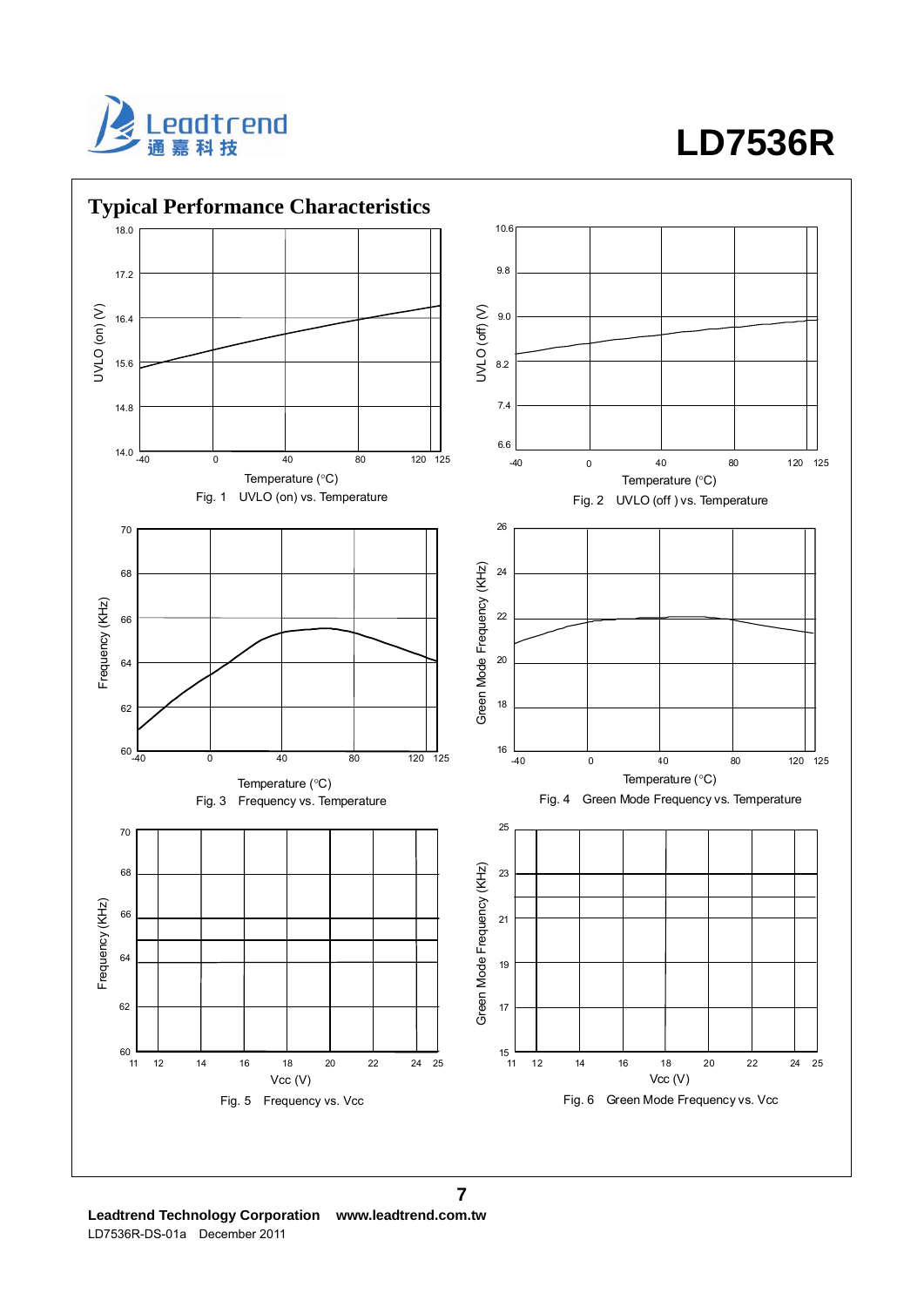



**Leadtrend Technology Corporation www.leadtrend.com.tw**  LD7536R-DS-01a December 2011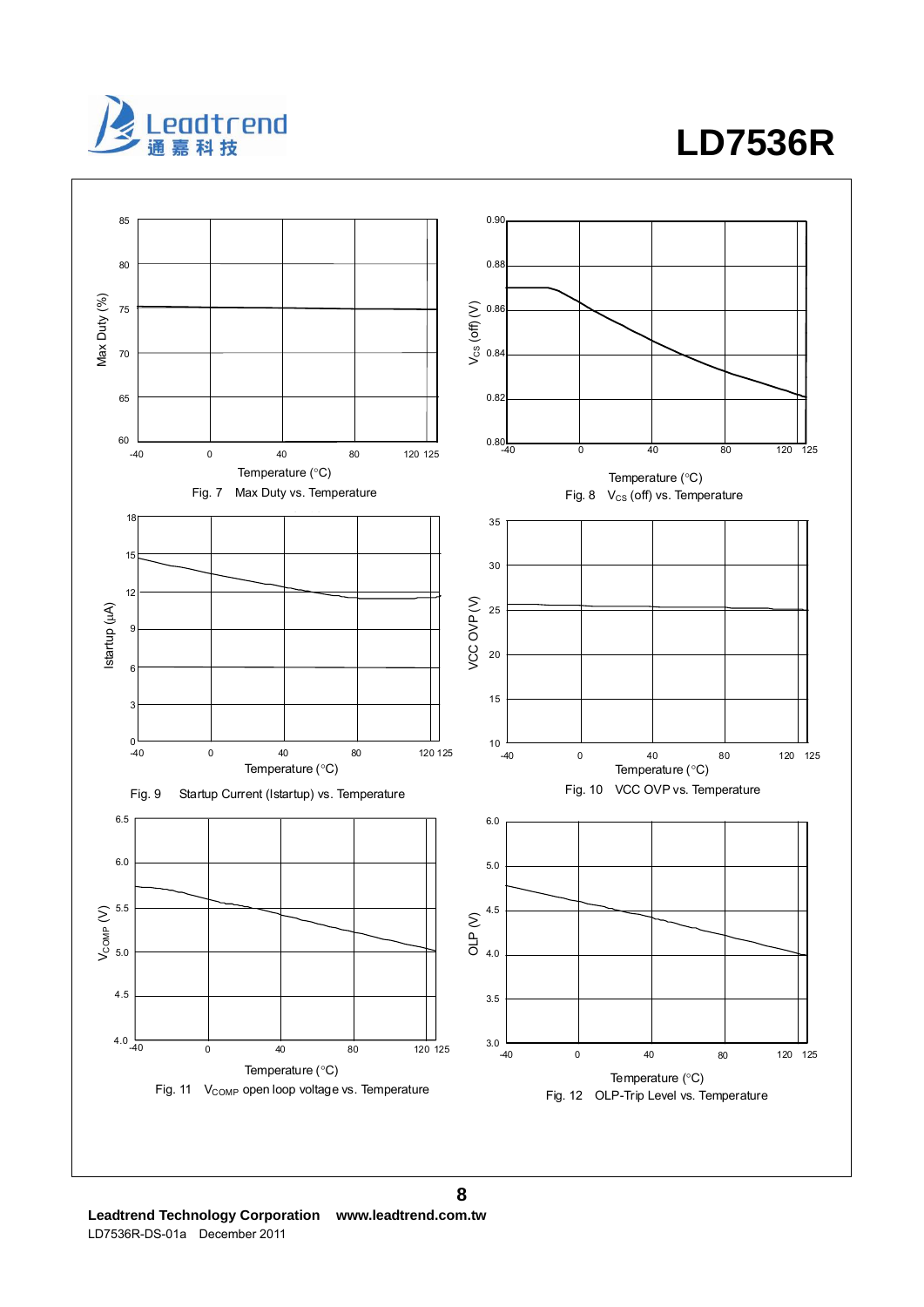

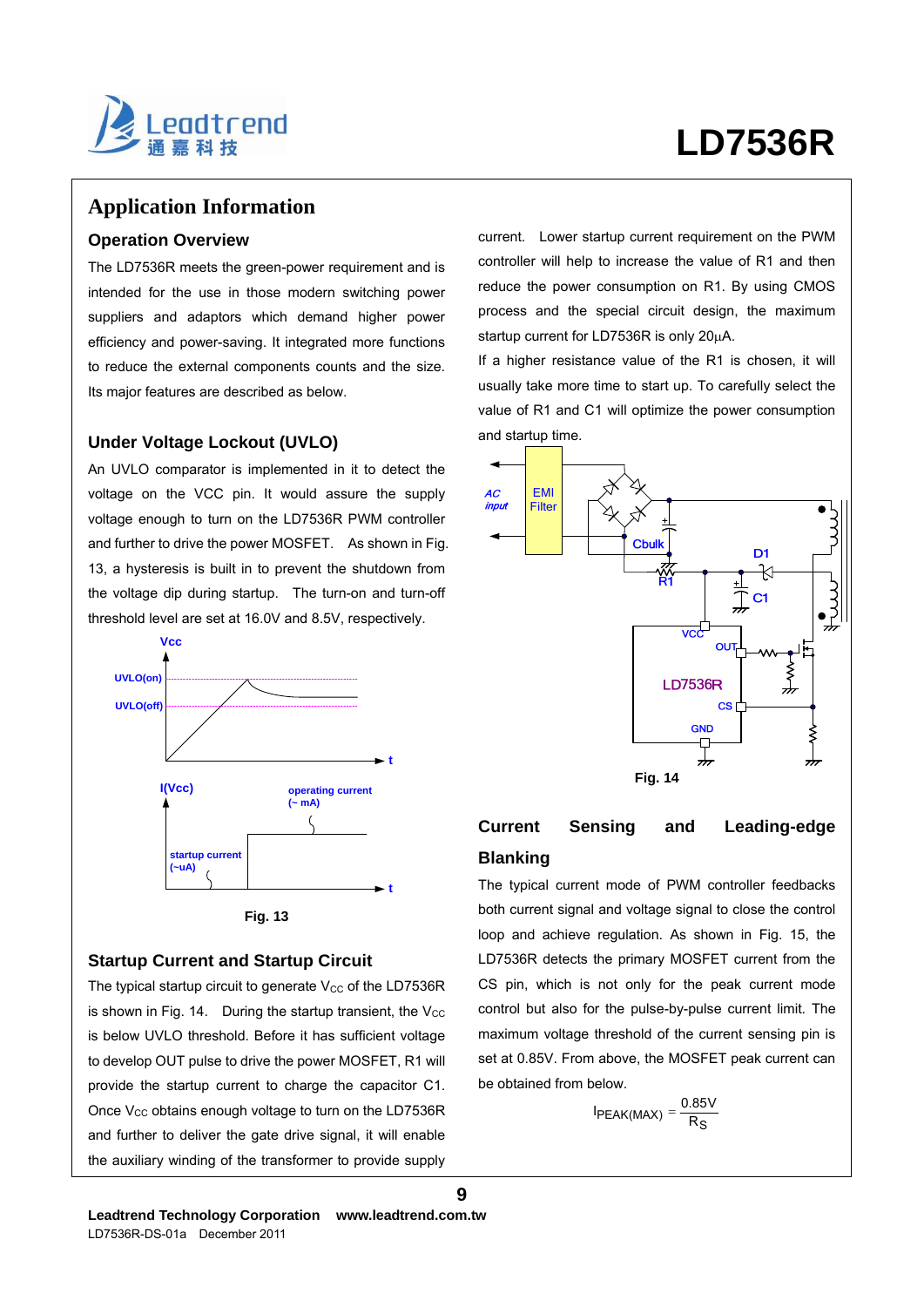

## **Application Information**

### **Operation Overview**

The LD7536R meets the green-power requirement and is intended for the use in those modern switching power suppliers and adaptors which demand higher power efficiency and power-saving. It integrated more functions to reduce the external components counts and the size. Its major features are described as below.

### **Under Voltage Lockout (UVLO)**

An UVLO comparator is implemented in it to detect the voltage on the VCC pin. It would assure the supply voltage enough to turn on the LD7536R PWM controller and further to drive the power MOSFET. As shown in Fig. 13, a hysteresis is built in to prevent the shutdown from the voltage dip during startup. The turn-on and turn-off threshold level are set at 16.0V and 8.5V, respectively.





### **Startup Current and Startup Circuit**

The typical startup circuit to generate  $V_{CC}$  of the LD7536R is shown in Fig. 14. During the startup transient, the  $V_{\text{CC}}$ is below UVLO threshold. Before it has sufficient voltage to develop OUT pulse to drive the power MOSFET, R1 will provide the startup current to charge the capacitor C1. Once  $V_{CC}$  obtains enough voltage to turn on the LD7536R and further to deliver the gate drive signal, it will enable the auxiliary winding of the transformer to provide supply current. Lower startup current requirement on the PWM controller will help to increase the value of R1 and then reduce the power consumption on R1. By using CMOS process and the special circuit design, the maximum startup current for LD7536R is only 20μA.

If a higher resistance value of the R1 is chosen, it will usually take more time to start up. To carefully select the value of R1 and C1 will optimize the power consumption and startup time.



## **Current Sensing and Leading-edge Blanking**

The typical current mode of PWM controller feedbacks both current signal and voltage signal to close the control loop and achieve regulation. As shown in Fig. 15, the LD7536R detects the primary MOSFET current from the CS pin, which is not only for the peak current mode control but also for the pulse-by-pulse current limit. The maximum voltage threshold of the current sensing pin is set at 0.85V. From above, the MOSFET peak current can be obtained from below.

$$
I_{PEAK(MAX)} = \frac{0.85V}{R_S}
$$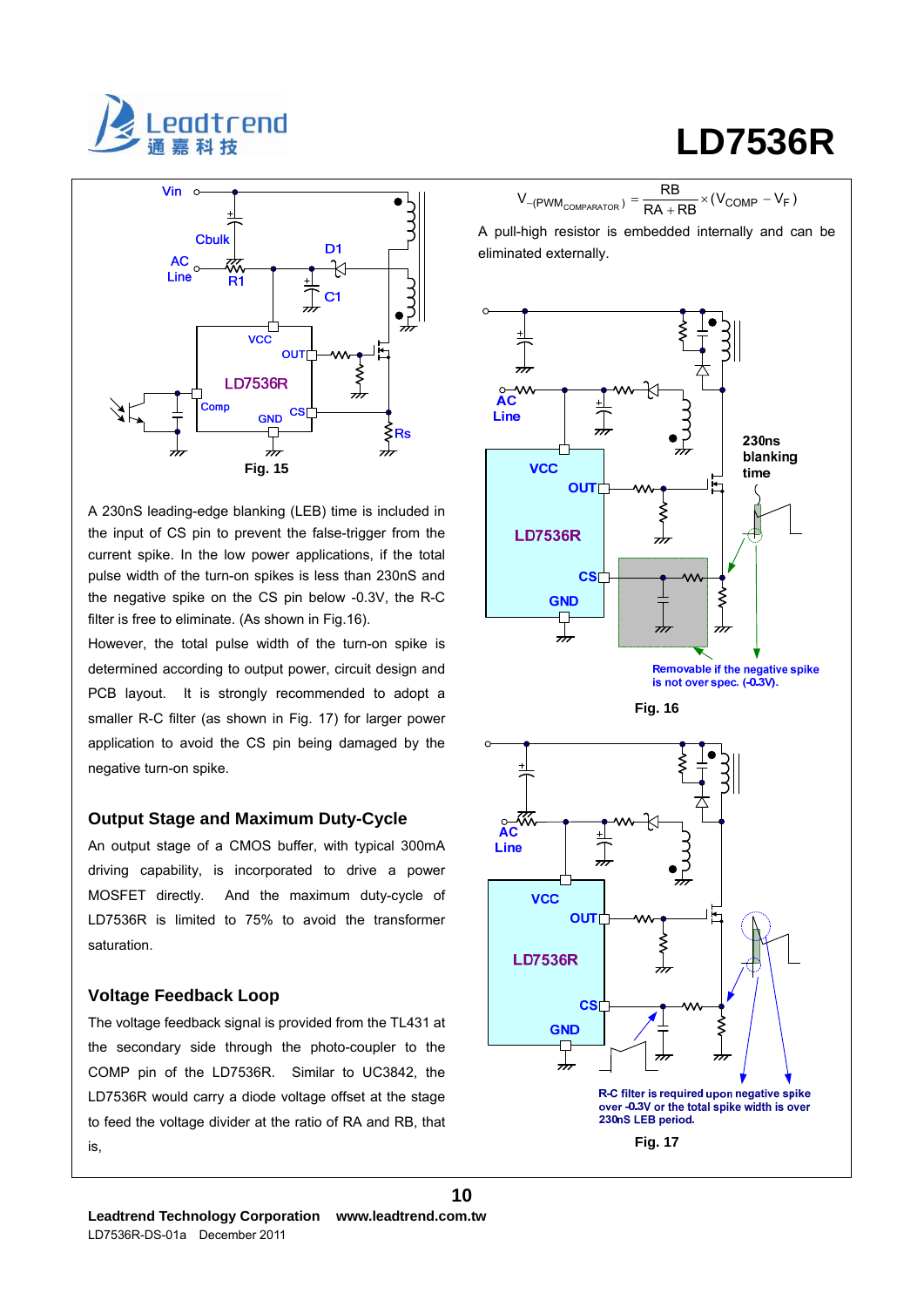



A 230nS leading-edge blanking (LEB) time is included in the input of CS pin to prevent the false-trigger from the current spike. In the low power applications, if the total pulse width of the turn-on spikes is less than 230nS and the negative spike on the CS pin below -0.3V, the R-C filter is free to eliminate. (As shown in Fig.16).

However, the total pulse width of the turn-on spike is determined according to output power, circuit design and PCB layout. It is strongly recommended to adopt a smaller R-C filter (as shown in Fig. 17) for larger power application to avoid the CS pin being damaged by the negative turn-on spike.

#### **Output Stage and Maximum Duty-Cycle**

An output stage of a CMOS buffer, with typical 300mA driving capability, is incorporated to drive a power MOSFET directly. And the maximum duty-cycle of LD7536R is limited to 75% to avoid the transformer saturation.

### **Voltage Feedback Loop**

The voltage feedback signal is provided from the TL431 at the secondary side through the photo-coupler to the COMP pin of the LD7536R. Similar to UC3842, the LD7536R would carry a diode voltage offset at the stage to feed the voltage divider at the ratio of RA and RB, that is,

# **LD7536R**

 $V_{-(\text{PWM}_{\text{COMPARATOR}})} = \frac{\text{RB}}{\text{RA} + \text{RB}} \times (V_{\text{COMP}} - V_{\text{F}})$ 

A pull-high resistor is embedded internally and can be eliminated externally.



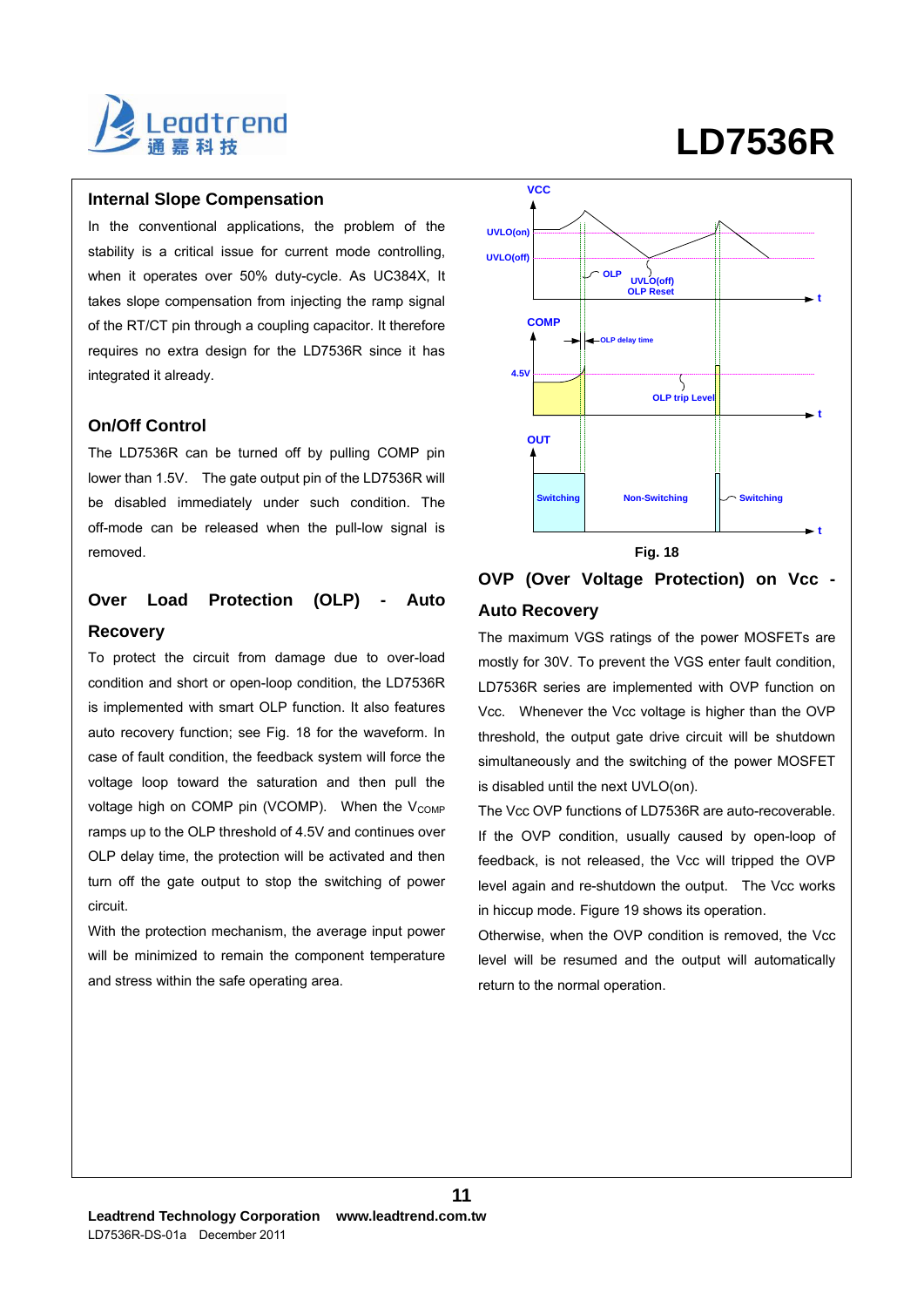

#### **Internal Slope Compensation**

In the conventional applications, the problem of the stability is a critical issue for current mode controlling, when it operates over 50% duty-cycle. As UC384X, It takes slope compensation from injecting the ramp signal of the RT/CT pin through a coupling capacitor. It therefore requires no extra design for the LD7536R since it has integrated it already.

#### **On/Off Control**

The LD7536R can be turned off by pulling COMP pin lower than 1.5V. The gate output pin of the LD7536R will be disabled immediately under such condition. The off-mode can be released when the pull-low signal is removed.

## **Over Load Protection (OLP) - Auto Recovery**

To protect the circuit from damage due to over-load condition and short or open-loop condition, the LD7536R is implemented with smart OLP function. It also features auto recovery function; see Fig. 18 for the waveform. In case of fault condition, the feedback system will force the voltage loop toward the saturation and then pull the voltage high on COMP pin (VCOMP). When the  $V_{\text{COMP}}$ ramps up to the OLP threshold of 4.5V and continues over OLP delay time, the protection will be activated and then turn off the gate output to stop the switching of power circuit.

With the protection mechanism, the average input power will be minimized to remain the component temperature and stress within the safe operating area.



### **Fig. 18**

## **OVP (Over Voltage Protection) on Vcc - Auto Recovery**

The maximum VGS ratings of the power MOSFETs are mostly for 30V. To prevent the VGS enter fault condition, LD7536R series are implemented with OVP function on Vcc. Whenever the Vcc voltage is higher than the OVP threshold, the output gate drive circuit will be shutdown simultaneously and the switching of the power MOSFET is disabled until the next UVLO(on).

The Vcc OVP functions of LD7536R are auto-recoverable. If the OVP condition, usually caused by open-loop of feedback, is not released, the Vcc will tripped the OVP level again and re-shutdown the output. The Vcc works in hiccup mode. Figure 19 shows its operation.

Otherwise, when the OVP condition is removed, the Vcc level will be resumed and the output will automatically return to the normal operation.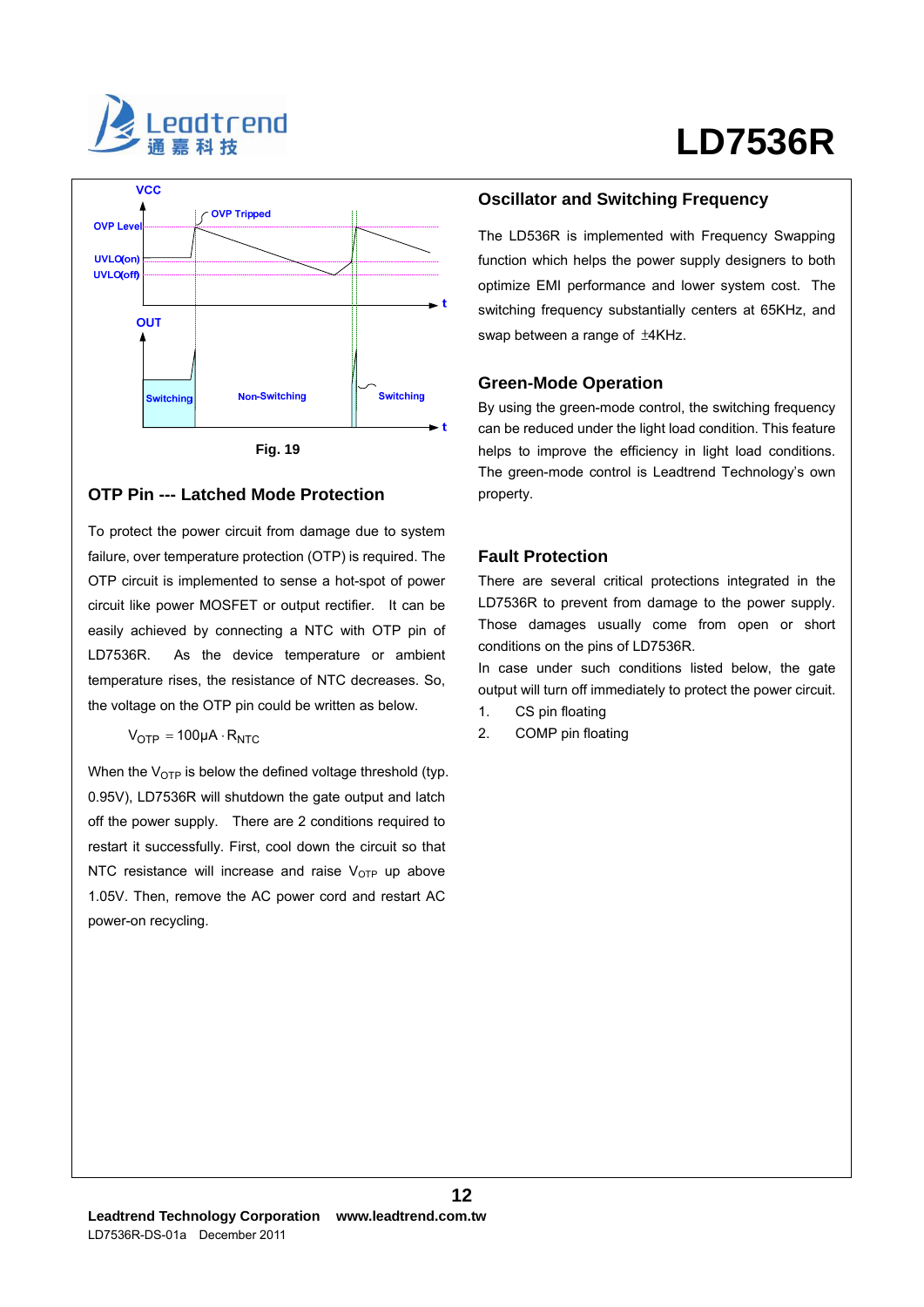



### **OTP Pin --- Latched Mode Protection**

To protect the power circuit from damage due to system failure, over temperature protection (OTP) is required. The OTP circuit is implemented to sense a hot-spot of power circuit like power MOSFET or output rectifier. It can be easily achieved by connecting a NTC with OTP pin of LD7536R. As the device temperature or ambient temperature rises, the resistance of NTC decreases. So, the voltage on the OTP pin could be written as below.

$$
V_{OTP} = 100 \mu A \cdot R_{NTC}
$$

When the  $V<sub>OTP</sub>$  is below the defined voltage threshold (typ. 0.95V), LD7536R will shutdown the gate output and latch off the power supply. There are 2 conditions required to restart it successfully. First, cool down the circuit so that NTC resistance will increase and raise  $V_{\text{OTP}}$  up above 1.05V. Then, remove the AC power cord and restart AC power-on recycling.

### **Oscillator and Switching Frequency**

The LD536R is implemented with Frequency Swapping function which helps the power supply designers to both optimize EMI performance and lower system cost. The switching frequency substantially centers at 65KHz, and swap between a range of ±4KHz.

#### **Green-Mode Operation**

By using the green-mode control, the switching frequency can be reduced under the light load condition. This feature helps to improve the efficiency in light load conditions. The green-mode control is Leadtrend Technology's own property.

#### **Fault Protection**

There are several critical protections integrated in the LD7536R to prevent from damage to the power supply. Those damages usually come from open or short conditions on the pins of LD7536R.

In case under such conditions listed below, the gate output will turn off immediately to protect the power circuit.

1. CS pin floating

**12**

2. COMP pin floating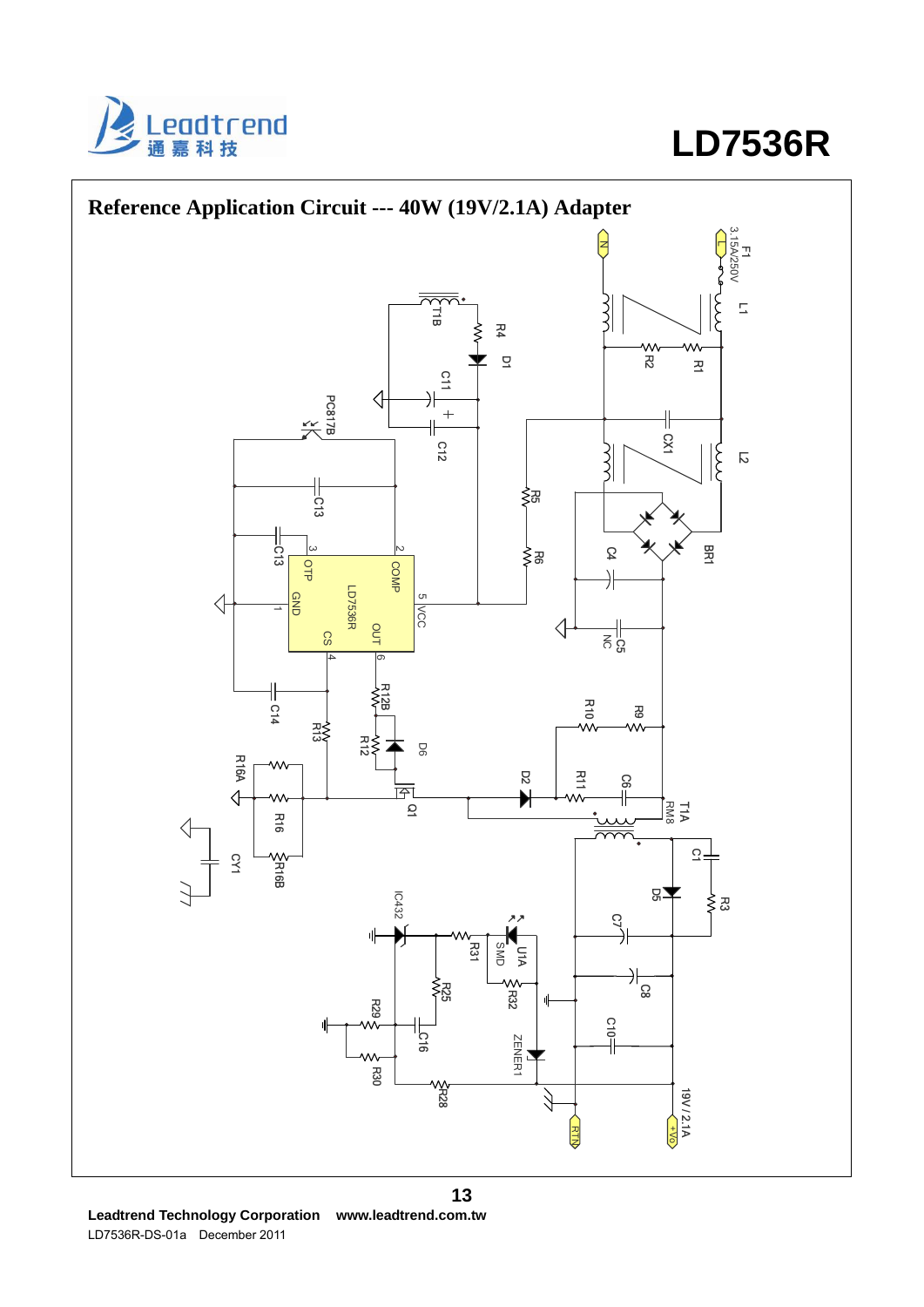



**Leadtrend Technology Corporation www.leadtrend.com.tw**  LD7536R-DS-01a December 2011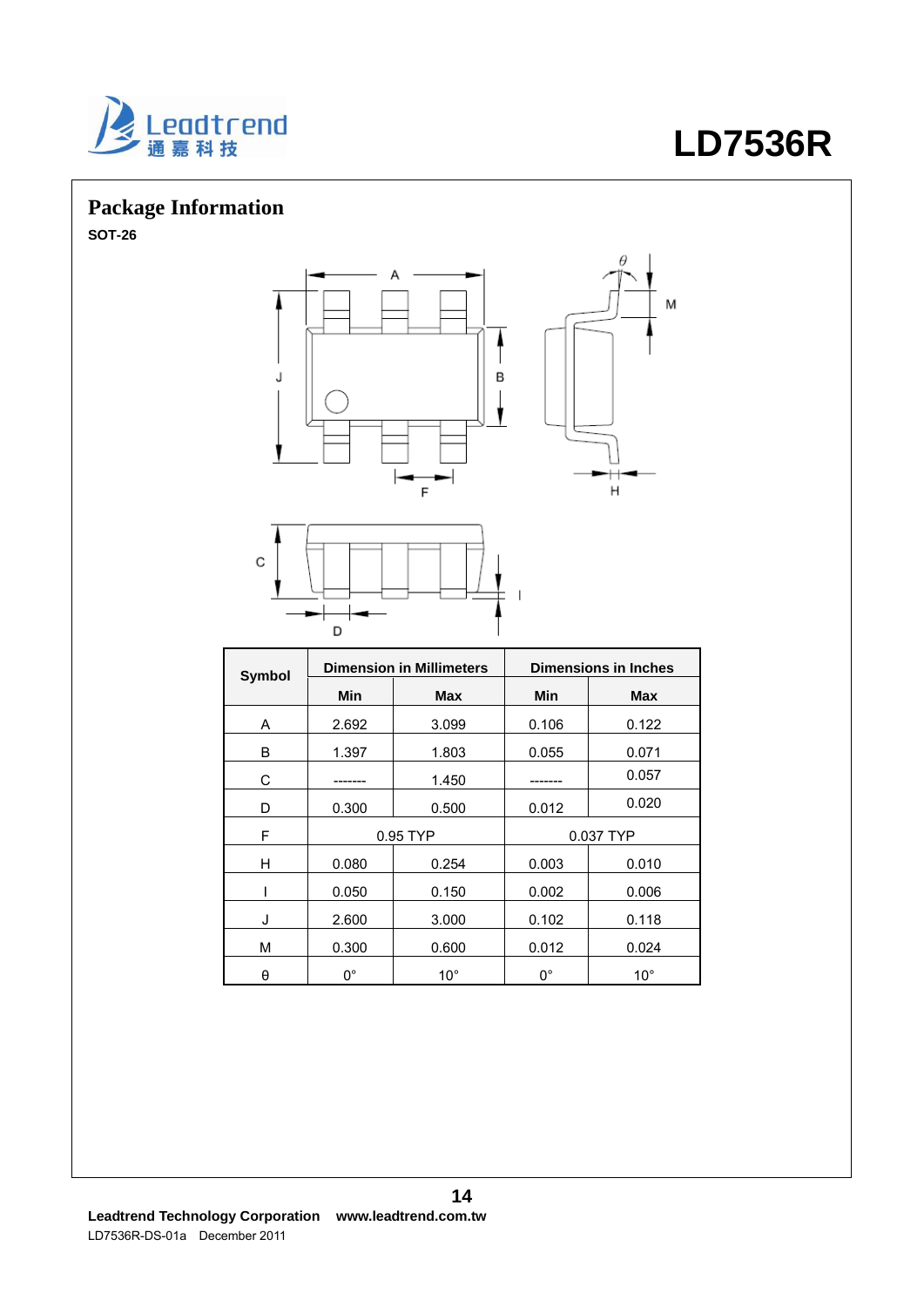

# **Package Information**

**SOT-26** 





| Symbol | <b>Dimension in Millimeters</b> |              | <b>Dimensions in Inches</b> |              |  |
|--------|---------------------------------|--------------|-----------------------------|--------------|--|
|        | Min                             | Max          | Min                         | Max          |  |
| A      | 2.692                           | 3.099        | 0.106                       | 0.122        |  |
| B      | 1.397                           | 1.803        | 0.055                       | 0.071        |  |
| С      |                                 | 1.450        |                             | 0.057        |  |
| D      | 0.300                           | 0.500        | 0.012                       | 0.020        |  |
| F      | 0.95 TYP                        |              | 0.037 TYP                   |              |  |
| н      | 0.080                           | 0.254        | 0.003                       | 0.010        |  |
|        | 0.050                           | 0.150        | 0.002                       | 0.006        |  |
| J      | 2.600                           | 3.000        | 0.102                       | 0.118        |  |
| M      | 0.300                           | 0.600        | 0.012                       | 0.024        |  |
| θ      | $0^{\circ}$                     | $10^{\circ}$ | $0^{\circ}$                 | $10^{\circ}$ |  |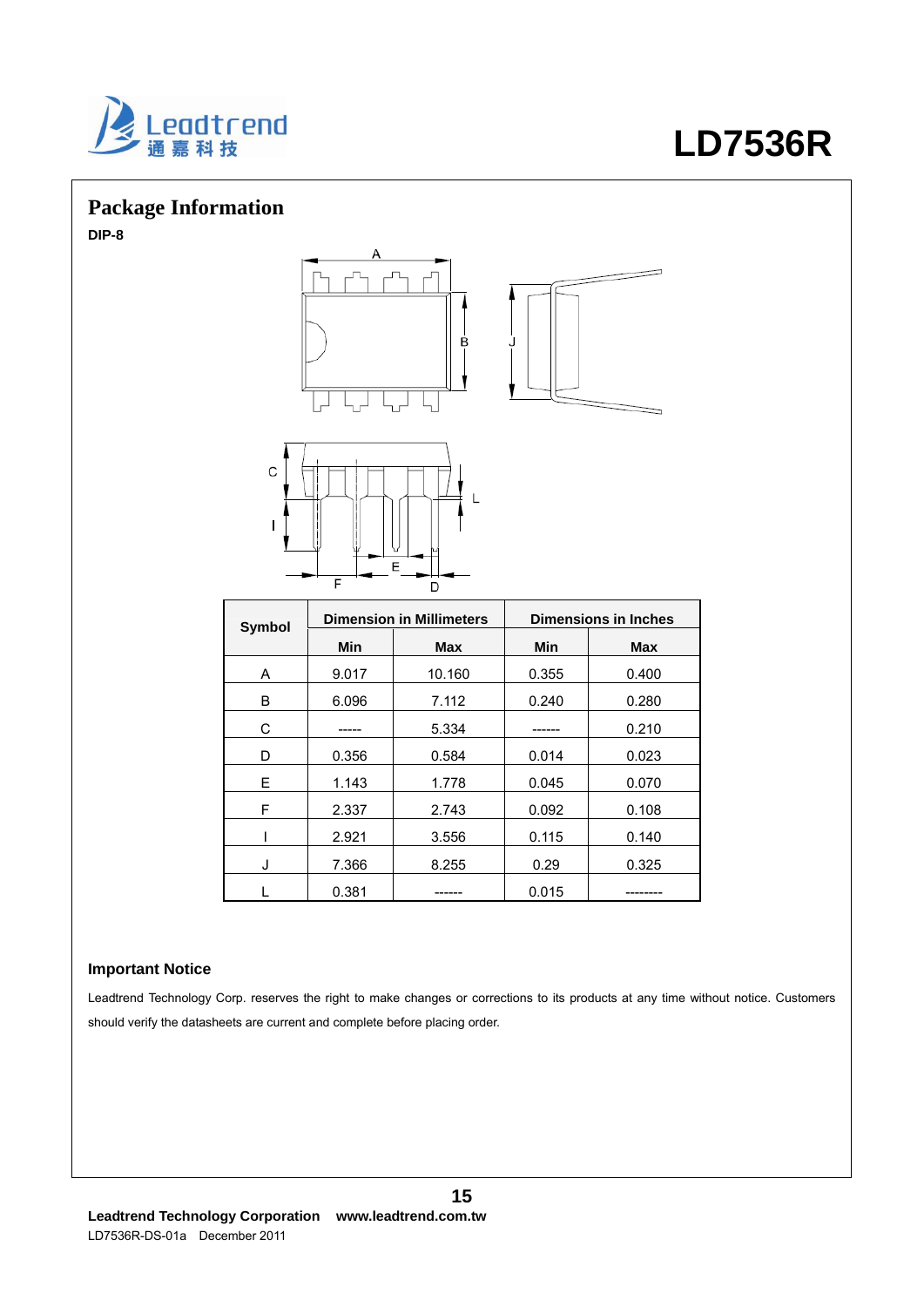

# **Package Information**

**DIP-8** 



| <b>Symbol</b> | <b>Dimension in Millimeters</b> |        | <b>Dimensions in Inches</b> |            |  |
|---------------|---------------------------------|--------|-----------------------------|------------|--|
|               | Min                             | Max    | Min                         | <b>Max</b> |  |
| A             | 9.017                           | 10.160 | 0.355                       | 0.400      |  |
| B             | 6.096                           | 7.112  | 0.240                       | 0.280      |  |
| C             |                                 | 5.334  |                             | 0.210      |  |
| D             | 0.356                           | 0.584  | 0.014                       | 0.023      |  |
| E             | 1.143                           | 1.778  | 0.045                       | 0.070      |  |
| F             | 2.337                           | 2.743  | 0.092                       | 0.108      |  |
|               | 2.921                           | 3.556  | 0.115                       | 0.140      |  |
| J             | 7.366                           | 8.255  | 0.29                        | 0.325      |  |
|               | 0.381                           |        | 0.015                       | ------     |  |

### **Important Notice**

Leadtrend Technology Corp. reserves the right to make changes or corrections to its products at any time without notice. Customers should verify the datasheets are current and complete before placing order.